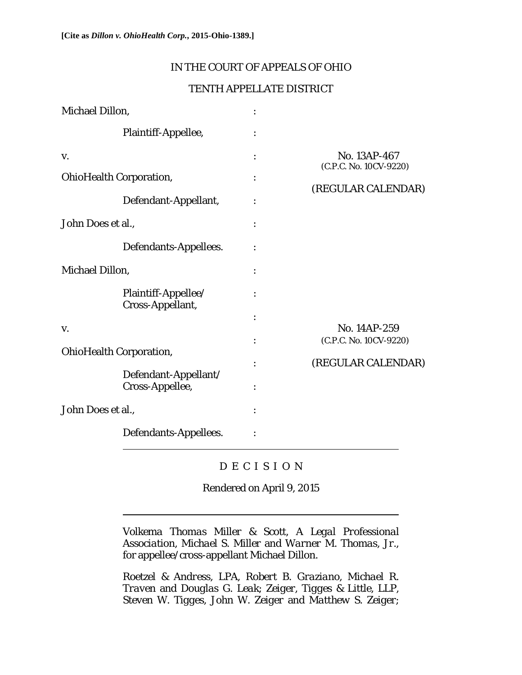### IN THE COURT OF APPEALS OF OHIO

### TENTH APPELLATE DISTRICT

| <b>Michael Dillon,</b>         |                                         |                                        |
|--------------------------------|-----------------------------------------|----------------------------------------|
|                                | Plaintiff-Appellee,                     |                                        |
| V.                             |                                         | No. 13AP-467<br>(C.P.C. No. 10CV-9220) |
| <b>OhioHealth Corporation,</b> |                                         |                                        |
|                                | Defendant-Appellant,                    | (REGULAR CALENDAR)                     |
| John Does et al.,              |                                         |                                        |
|                                | Defendants-Appellees.                   |                                        |
| <b>Michael Dillon,</b>         |                                         |                                        |
|                                | Plaintiff-Appellee/<br>Cross-Appellant, |                                        |
|                                |                                         |                                        |
| V.                             |                                         | No. 14AP-259                           |
| <b>OhioHealth Corporation,</b> |                                         | (C.P.C. No. 10CV-9220)                 |
|                                | Defendant-Appellant/                    | (REGULAR CALENDAR)                     |
|                                | Cross-Appellee,                         |                                        |
| John Does et al.,              |                                         |                                        |
|                                | Defendants-Appellees.                   |                                        |

# D E C I S I O N

Rendered on April 9, 2015

*Volkema Thomas Miller & Scott, A Legal Professional Association, Michael S. Miller* and *Warner M. Thomas, Jr.*, for appellee/cross-appellant Michael Dillon.

*Roetzel & Andress, LPA, Robert B. Graziano, Michael R. Traven* and *Douglas G. Leak*; *Zeiger, Tigges & Little, LLP, Steven W. Tigges, John W. Zeiger* and *Matthew S. Zeiger*;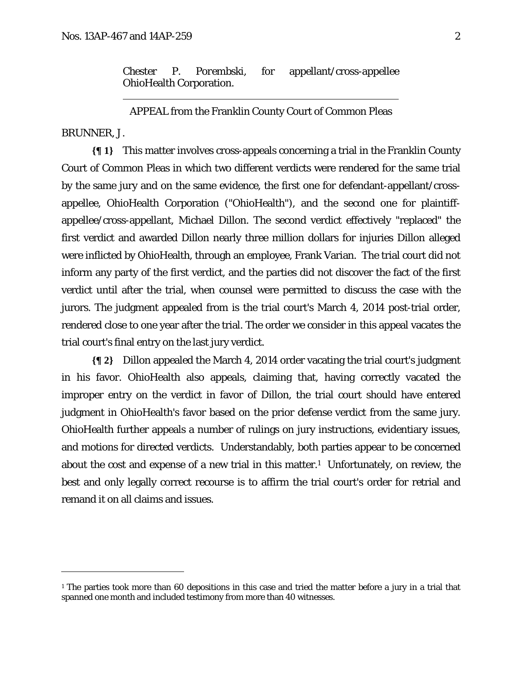*Chester P. Porembski*, for appellant/cross-appellee OhioHealth Corporation.

APPEAL from the Franklin County Court of Common Pleas

#### BRUNNER, J.

<u>.</u>

**{¶ 1}** This matter involves cross-appeals concerning a trial in the Franklin County Court of Common Pleas in which two different verdicts were rendered for the same trial by the same jury and on the same evidence, the first one for defendant-appellant/crossappellee, OhioHealth Corporation ("OhioHealth"), and the second one for plaintiffappellee/cross-appellant, Michael Dillon. The second verdict effectively "replaced" the first verdict and awarded Dillon nearly three million dollars for injuries Dillon alleged were inflicted by OhioHealth, through an employee, Frank Varian. The trial court did not inform any party of the first verdict, and the parties did not discover the fact of the first verdict until after the trial, when counsel were permitted to discuss the case with the jurors. The judgment appealed from is the trial court's March 4, 2014 post-trial order, rendered close to one year after the trial. The order we consider in this appeal vacates the trial court's final entry on the last jury verdict.

**{¶ 2}** Dillon appealed the March 4, 2014 order vacating the trial court's judgment in his favor. OhioHealth also appeals, claiming that, having correctly vacated the improper entry on the verdict in favor of Dillon, the trial court should have entered judgment in OhioHealth's favor based on the prior defense verdict from the same jury. OhioHealth further appeals a number of rulings on jury instructions, evidentiary issues, and motions for directed verdicts. Understandably, both parties appear to be concerned about the cost and expense of a new trial in this matter.<sup>1</sup> Unfortunately, on review, the best and only legally correct recourse is to affirm the trial court's order for retrial and remand it on all claims and issues.

<sup>&</sup>lt;sup>1</sup> The parties took more than 60 depositions in this case and tried the matter before a jury in a trial that spanned one month and included testimony from more than 40 witnesses.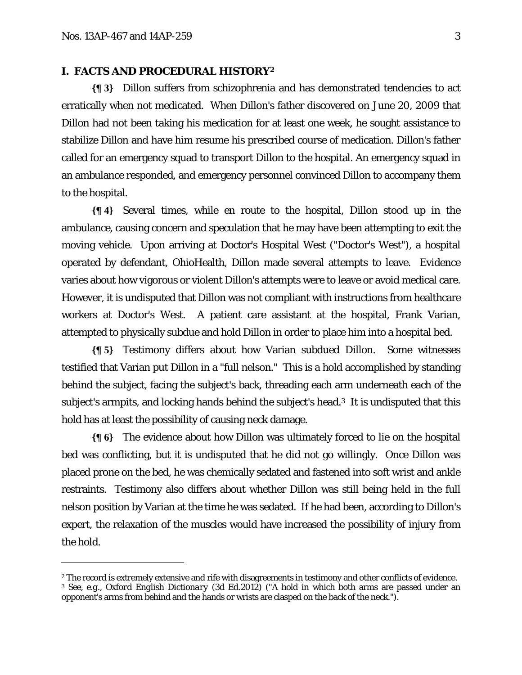<u>.</u>

### **I. FACTS AND PROCEDURAL HISTORY2**

**{¶ 3}** Dillon suffers from schizophrenia and has demonstrated tendencies to act erratically when not medicated. When Dillon's father discovered on June 20, 2009 that Dillon had not been taking his medication for at least one week, he sought assistance to stabilize Dillon and have him resume his prescribed course of medication. Dillon's father called for an emergency squad to transport Dillon to the hospital. An emergency squad in an ambulance responded, and emergency personnel convinced Dillon to accompany them to the hospital.

**{¶ 4}** Several times, while en route to the hospital, Dillon stood up in the ambulance, causing concern and speculation that he may have been attempting to exit the moving vehicle. Upon arriving at Doctor's Hospital West ("Doctor's West"), a hospital operated by defendant, OhioHealth, Dillon made several attempts to leave. Evidence varies about how vigorous or violent Dillon's attempts were to leave or avoid medical care. However, it is undisputed that Dillon was not compliant with instructions from healthcare workers at Doctor's West. A patient care assistant at the hospital, Frank Varian, attempted to physically subdue and hold Dillon in order to place him into a hospital bed.

**{¶ 5}** Testimony differs about how Varian subdued Dillon. Some witnesses testified that Varian put Dillon in a "full nelson." This is a hold accomplished by standing behind the subject, facing the subject's back, threading each arm underneath each of the subject's armpits, and locking hands behind the subject's head.3 It is undisputed that this hold has at least the possibility of causing neck damage.

**{¶ 6}** The evidence about how Dillon was ultimately forced to lie on the hospital bed was conflicting, but it is undisputed that he did not go willingly. Once Dillon was placed prone on the bed, he was chemically sedated and fastened into soft wrist and ankle restraints. Testimony also differs about whether Dillon was still being held in the full nelson position by Varian at the time he was sedated. If he had been, according to Dillon's expert, the relaxation of the muscles would have increased the possibility of injury from the hold.

<sup>&</sup>lt;sup>2</sup> The record is extremely extensive and rife with disagreements in testimony and other conflicts of evidence.

<sup>3</sup> *See, e.g.*, *Oxford English Dictionary* (3d Ed.2012) ("A hold in which both arms are passed under an opponent's arms from behind and the hands or wrists are clasped on the back of the neck.").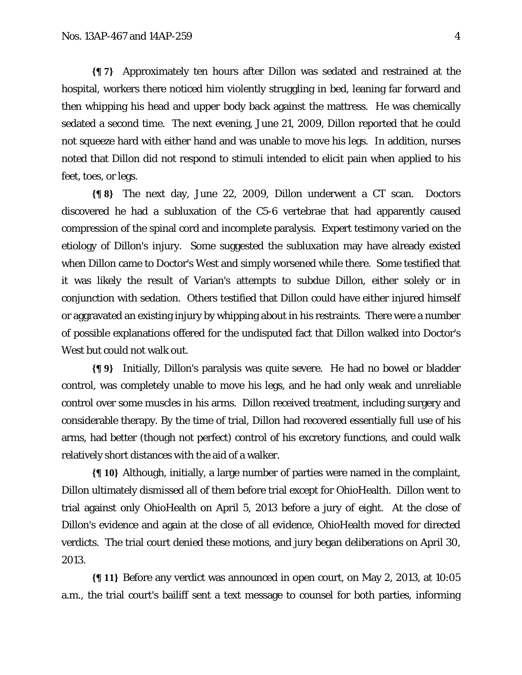**{¶ 7}** Approximately ten hours after Dillon was sedated and restrained at the hospital, workers there noticed him violently struggling in bed, leaning far forward and then whipping his head and upper body back against the mattress. He was chemically sedated a second time. The next evening, June 21, 2009, Dillon reported that he could not squeeze hard with either hand and was unable to move his legs. In addition, nurses noted that Dillon did not respond to stimuli intended to elicit pain when applied to his feet, toes, or legs.

**{¶ 8}** The next day, June 22, 2009, Dillon underwent a CT scan. Doctors discovered he had a subluxation of the C5-6 vertebrae that had apparently caused compression of the spinal cord and incomplete paralysis. Expert testimony varied on the etiology of Dillon's injury. Some suggested the subluxation may have already existed when Dillon came to Doctor's West and simply worsened while there. Some testified that it was likely the result of Varian's attempts to subdue Dillon, either solely or in conjunction with sedation. Others testified that Dillon could have either injured himself or aggravated an existing injury by whipping about in his restraints. There were a number of possible explanations offered for the undisputed fact that Dillon walked into Doctor's West but could not walk out.

**{¶ 9}** Initially, Dillon's paralysis was quite severe. He had no bowel or bladder control, was completely unable to move his legs, and he had only weak and unreliable control over some muscles in his arms. Dillon received treatment, including surgery and considerable therapy. By the time of trial, Dillon had recovered essentially full use of his arms, had better (though not perfect) control of his excretory functions, and could walk relatively short distances with the aid of a walker.

**{¶ 10}** Although, initially, a large number of parties were named in the complaint, Dillon ultimately dismissed all of them before trial except for OhioHealth. Dillon went to trial against only OhioHealth on April 5, 2013 before a jury of eight. At the close of Dillon's evidence and again at the close of all evidence, OhioHealth moved for directed verdicts. The trial court denied these motions, and jury began deliberations on April 30, 2013.

**{¶ 11}** Before any verdict was announced in open court, on May 2, 2013, at 10:05 a.m., the trial court's bailiff sent a text message to counsel for both parties, informing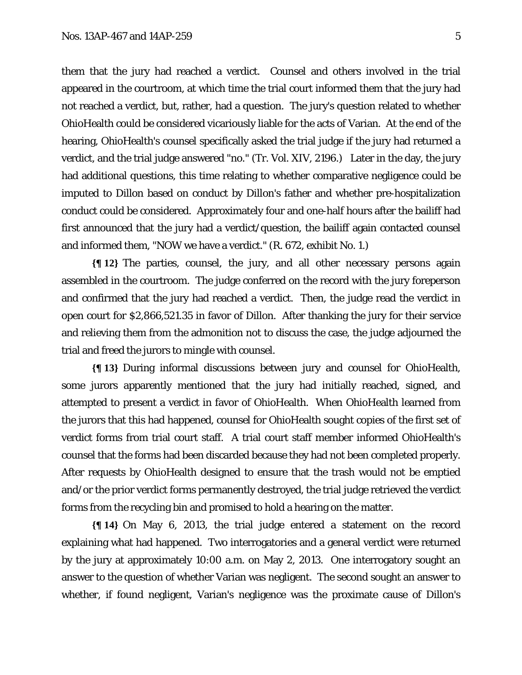them that the jury had reached a verdict. Counsel and others involved in the trial appeared in the courtroom, at which time the trial court informed them that the jury had not reached a verdict, but, rather, had a question. The jury's question related to whether OhioHealth could be considered vicariously liable for the acts of Varian. At the end of the hearing, OhioHealth's counsel specifically asked the trial judge if the jury had returned a verdict, and the trial judge answered "no." (Tr. Vol. XIV, 2196.) Later in the day, the jury had additional questions, this time relating to whether comparative negligence could be imputed to Dillon based on conduct by Dillon's father and whether pre-hospitalization conduct could be considered. Approximately four and one-half hours after the bailiff had first announced that the jury had a verdict/question, the bailiff again contacted counsel and informed them, "NOW we have a verdict." (R. 672, exhibit No. 1.)

**{¶ 12}** The parties, counsel, the jury, and all other necessary persons again assembled in the courtroom. The judge conferred on the record with the jury foreperson and confirmed that the jury had reached a verdict. Then, the judge read the verdict in open court for \$2,866,521.35 in favor of Dillon. After thanking the jury for their service and relieving them from the admonition not to discuss the case, the judge adjourned the trial and freed the jurors to mingle with counsel.

**{¶ 13}** During informal discussions between jury and counsel for OhioHealth, some jurors apparently mentioned that the jury had initially reached, signed, and attempted to present a verdict in favor of OhioHealth. When OhioHealth learned from the jurors that this had happened, counsel for OhioHealth sought copies of the first set of verdict forms from trial court staff. A trial court staff member informed OhioHealth's counsel that the forms had been discarded because they had not been completed properly. After requests by OhioHealth designed to ensure that the trash would not be emptied and/or the prior verdict forms permanently destroyed, the trial judge retrieved the verdict forms from the recycling bin and promised to hold a hearing on the matter.

**{¶ 14}** On May 6, 2013, the trial judge entered a statement on the record explaining what had happened. Two interrogatories and a general verdict were returned by the jury at approximately 10:00 a.m. on May 2, 2013. One interrogatory sought an answer to the question of whether Varian was negligent. The second sought an answer to whether, if found negligent, Varian's negligence was the proximate cause of Dillon's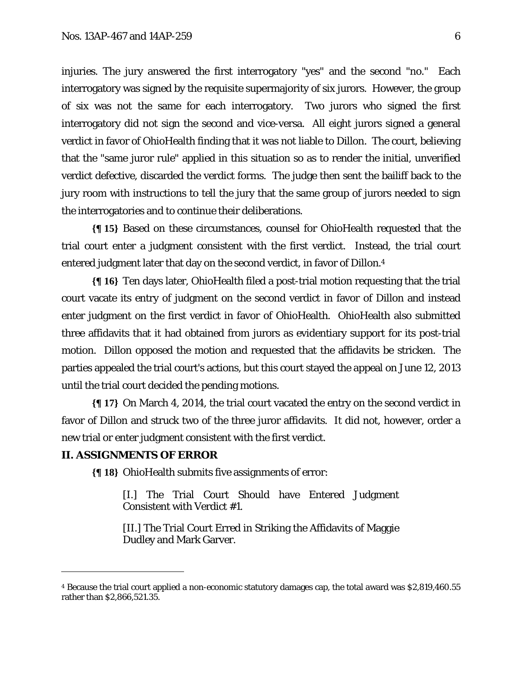injuries. The jury answered the first interrogatory "yes" and the second "no." Each interrogatory was signed by the requisite supermajority of six jurors. However, the group of six was not the same for each interrogatory. Two jurors who signed the first interrogatory did not sign the second and vice-versa. All eight jurors signed a general verdict in favor of OhioHealth finding that it was not liable to Dillon. The court, believing that the "same juror rule" applied in this situation so as to render the initial, unverified verdict defective, discarded the verdict forms. The judge then sent the bailiff back to the jury room with instructions to tell the jury that the same group of jurors needed to sign the interrogatories and to continue their deliberations.

**{¶ 15}** Based on these circumstances, counsel for OhioHealth requested that the trial court enter a judgment consistent with the first verdict. Instead, the trial court entered judgment later that day on the second verdict, in favor of Dillon.4

**{¶ 16}** Ten days later, OhioHealth filed a post-trial motion requesting that the trial court vacate its entry of judgment on the second verdict in favor of Dillon and instead enter judgment on the first verdict in favor of OhioHealth. OhioHealth also submitted three affidavits that it had obtained from jurors as evidentiary support for its post-trial motion. Dillon opposed the motion and requested that the affidavits be stricken. The parties appealed the trial court's actions, but this court stayed the appeal on June 12, 2013 until the trial court decided the pending motions.

**{¶ 17}** On March 4, 2014, the trial court vacated the entry on the second verdict in favor of Dillon and struck two of the three juror affidavits. It did not, however, order a new trial or enter judgment consistent with the first verdict.

#### **II. ASSIGNMENTS OF ERROR**

 $\overline{a}$ 

**{¶ 18}** OhioHealth submits five assignments of error:

[I.] The Trial Court Should have Entered Judgment Consistent with Verdict #1.

[II.] The Trial Court Erred in Striking the Affidavits of Maggie Dudley and Mark Garver.

<sup>4</sup> Because the trial court applied a non-economic statutory damages cap, the total award was \$2,819,460.55 rather than \$2,866,521.35.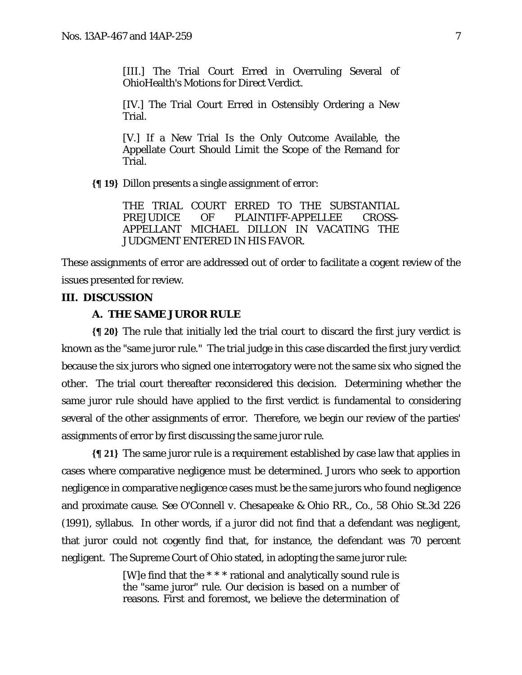[III.] The Trial Court Erred in Overruling Several of OhioHealth's Motions for Direct Verdict.

[IV.] The Trial Court Erred in Ostensibly Ordering a New Trial.

[V.] If a New Trial Is the Only Outcome Available, the Appellate Court Should Limit the Scope of the Remand for Trial.

**{¶ 19}** Dillon presents a single assignment of error:

THE TRIAL COURT ERRED TO THE SUBSTANTIAL PREJUDICE OF PLAINTIFF-APPELLEE CROSS-APPELLANT MICHAEL DILLON IN VACATING THE JUDGMENT ENTERED IN HIS FAVOR.

These assignments of error are addressed out of order to facilitate a cogent review of the issues presented for review.

### **III. DISCUSSION**

#### **A. THE SAME JUROR RULE**

**{¶ 20}** The rule that initially led the trial court to discard the first jury verdict is known as the "same juror rule." The trial judge in this case discarded the first jury verdict because the six jurors who signed one interrogatory were not the same six who signed the other. The trial court thereafter reconsidered this decision. Determining whether the same juror rule should have applied to the first verdict is fundamental to considering several of the other assignments of error. Therefore, we begin our review of the parties' assignments of error by first discussing the same juror rule.

**{¶ 21}** The same juror rule is a requirement established by case law that applies in cases where comparative negligence must be determined. Jurors who seek to apportion negligence in comparative negligence cases must be the same jurors who found negligence and proximate cause. *See O'Connell v. Chesapeake & Ohio RR., Co.*, 58 Ohio St.3d 226 (1991), syllabus. In other words, if a juror did not find that a defendant was negligent, that juror could not cogently find that, for instance, the defendant was 70 percent negligent. The Supreme Court of Ohio stated, in adopting the same juror rule:

> [W]e find that the \* \* \* rational and analytically sound rule is the "same juror" rule. Our decision is based on a number of reasons. First and foremost, we believe the determination of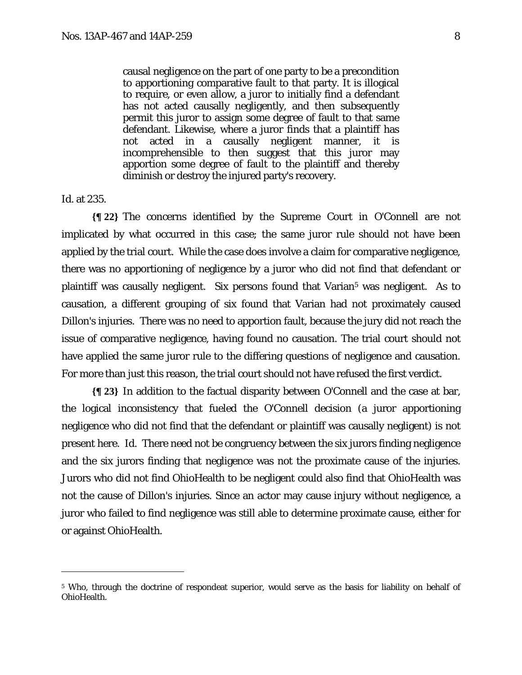causal negligence on the part of one party to be a precondition to apportioning comparative fault to that party. It is illogical to require, or even allow, a juror to initially find a defendant has not acted causally negligently, and then subsequently permit this juror to assign some degree of fault to that same defendant. Likewise, where a juror finds that a plaintiff has not acted in a causally negligent manner, it is incomprehensible to then suggest that this juror may apportion some degree of fault to the plaintiff and thereby diminish or destroy the injured party's recovery.

*Id.* at 235.

<u>.</u>

**{¶ 22}** The concerns identified by the Supreme Court in *O'Connell* are not implicated by what occurred in this case; the same juror rule should not have been applied by the trial court. While the case does involve a claim for comparative negligence, there was no apportioning of negligence by a juror who did not find that defendant or plaintiff was causally negligent. Six persons found that Varian<sup>5</sup> was negligent. As to causation, a different grouping of six found that Varian had not proximately caused Dillon's injuries. There was no need to apportion fault, because the jury did not reach the issue of comparative negligence, having found no causation. The trial court should not have applied the same juror rule to the differing questions of negligence and causation. For more than just this reason, the trial court should not have refused the first verdict.

**{¶ 23}** In addition to the factual disparity between *O'Connell* and the case at bar, the logical inconsistency that fueled the *O'Connell* decision (a juror apportioning negligence who did not find that the defendant or plaintiff was causally negligent) is not present here. *Id.* There need not be congruency between the six jurors finding negligence and the six jurors finding that negligence was not the proximate cause of the injuries. Jurors who did not find OhioHealth to be negligent could also find that OhioHealth was not the cause of Dillon's injuries. Since an actor may cause injury without negligence, a juror who failed to find negligence was still able to determine proximate cause, either for or against OhioHealth.

<sup>5</sup> Who, through the doctrine of respondeat superior, would serve as the basis for liability on behalf of OhioHealth.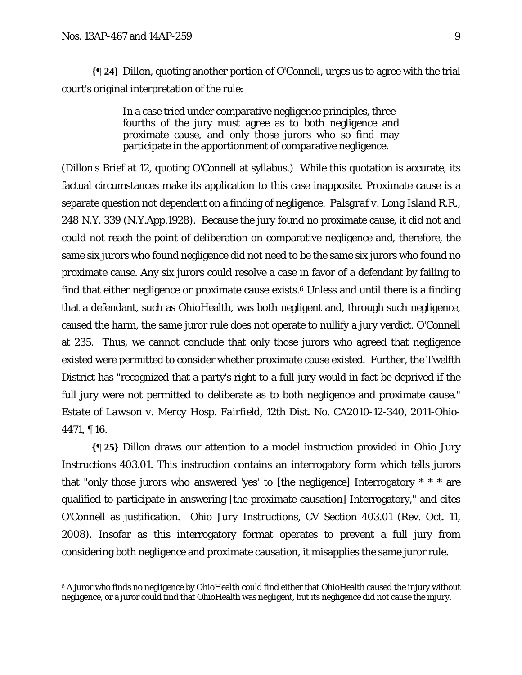$\overline{a}$ 

**{¶ 24}** Dillon, quoting another portion of *O'Connell*, urges us to agree with the trial court's original interpretation of the rule:

> In a case tried under comparative negligence principles, threefourths of the jury must agree as to both negligence and proximate cause, and only those jurors who so find may participate in the apportionment of comparative negligence.

(Dillon's Brief at 12, quoting *O'Connell* at syllabus.) While this quotation is accurate, its factual circumstances make its application to this case inapposite. Proximate cause is a separate question not dependent on a finding of negligence. *Palsgraf v. Long Island R.R.*, 248 N.Y. 339 (N.Y.App.1928). Because the jury found no proximate cause, it did not and could not reach the point of deliberation on comparative negligence and, therefore, the same six jurors who found negligence did not need to be the same six jurors who found no proximate cause. Any six jurors could resolve a case in favor of a defendant by failing to find that either negligence or proximate cause exists. $6$  Unless and until there is a finding that a defendant, such as OhioHealth, was both negligent and, through such negligence, caused the harm, the same juror rule does not operate to nullify a jury verdict. *O'Connell*  at 235. Thus, we cannot conclude that only those jurors who agreed that negligence existed were permitted to consider whether proximate cause existed. Further, the Twelfth District has "recognized that a party's right to a full jury would in fact be deprived if the full jury were not permitted to deliberate as to both negligence and proximate cause." *Estate of Lawson v. Mercy Hosp. Fairfield*, 12th Dist. No. CA2010-12-340, 2011-Ohio-4471, ¶ 16.

**{¶ 25}** Dillon draws our attention to a model instruction provided in Ohio Jury Instructions 403.01. This instruction contains an interrogatory form which tells jurors that "only those jurors who answered 'yes' to [the negligence] Interrogatory \* \* \* are qualified to participate in answering [the proximate causation] Interrogatory," and cites *O'Connell* as justification. *Ohio Jury Instructions*, CV Section 403.01 (Rev. Oct. 11, 2008). Insofar as this interrogatory format operates to prevent a full jury from considering both negligence and proximate causation, it misapplies the same juror rule.

<sup>&</sup>lt;sup>6</sup> A juror who finds no negligence by OhioHealth could find either that OhioHealth caused the injury without negligence, or a juror could find that OhioHealth was negligent, but its negligence did not cause the injury.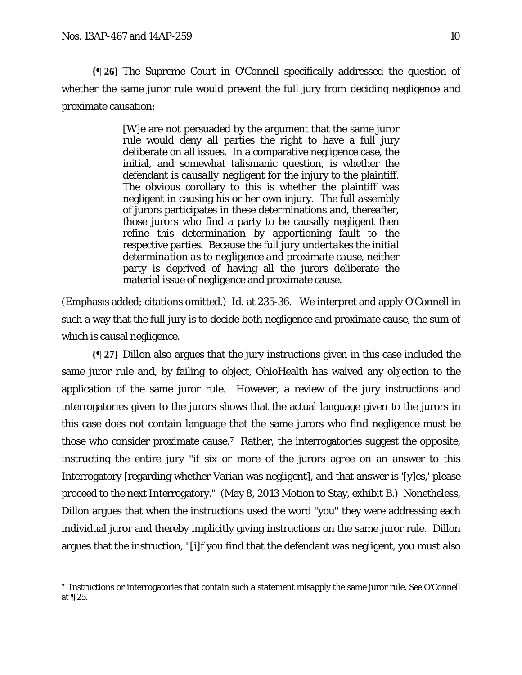<u>.</u>

**{¶ 26}** The Supreme Court in *O'Connell* specifically addressed the question of whether the same juror rule would prevent the full jury from deciding negligence and proximate causation:

> [W]e are not persuaded by the argument that the same juror rule would deny all parties the right to have a full jury deliberate on all issues. In a comparative negligence case, the initial, and somewhat talismanic question, is whether the defendant is *causally negligent* for the injury to the plaintiff. The obvious corollary to this is whether the plaintiff was negligent in causing his or her own injury. The full assembly of jurors participates in these determinations and, thereafter, those jurors who find a party to be causally negligent then refine this determination by apportioning fault to the respective parties. Because *the full jury undertakes the initial determination as to negligence and proximate cause*, neither party is deprived of having all the jurors deliberate the material issue of negligence and proximate cause.

(Emphasis added; citations omitted.) *Id.* at 235-36. We interpret and apply *O'Connell* in such a way that the full jury is to decide both negligence and proximate cause, the sum of which is causal negligence.

**{¶ 27}** Dillon also argues that the jury instructions given in this case included the same juror rule and, by failing to object, OhioHealth has waived any objection to the application of the same juror rule. However, a review of the jury instructions and interrogatories given to the jurors shows that the actual language given to the jurors in this case does not contain language that the same jurors who find negligence must be those who consider proximate cause.7 Rather, the interrogatories suggest the opposite, instructing the entire jury "if six or more of the jurors agree on an answer to this Interrogatory [regarding whether Varian was negligent], and that answer is '[y]es,' please proceed to the next Interrogatory." (May 8, 2013 Motion to Stay, exhibit B.) Nonetheless, Dillon argues that when the instructions used the word "you" they were addressing each individual juror and thereby implicitly giving instructions on the same juror rule. Dillon argues that the instruction, "[i]f you find that the defendant was negligent, you must also

<sup>7</sup> Instructions or interrogatories that contain such a statement misapply the same juror rule. *See O'Connell* at ¶ 25.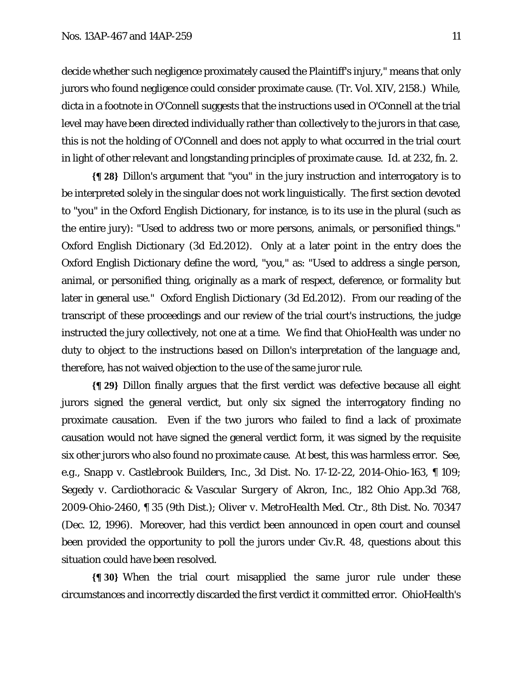decide whether such negligence proximately caused the Plaintiff's injury," means that only jurors who found negligence could consider proximate cause. (Tr. Vol. XIV, 2158.) While, dicta in a footnote in *O'Connell* suggests that the instructions used in *O'Connell* at the trial level may have been directed individually rather than collectively to the jurors in that case, this is not the holding of *O'Connell* and does not apply to what occurred in the trial court in light of other relevant and longstanding principles of proximate cause. *Id.* at 232, fn. 2.

**{¶ 28}** Dillon's argument that "you" in the jury instruction and interrogatory is to be interpreted solely in the singular does not work linguistically. The first section devoted to "you" in the Oxford English Dictionary, for instance, is to its use in the plural (such as the entire jury): "Used to address two or more persons, animals, or personified things." *Oxford English Dictionary* (3d Ed.2012). Only at a later point in the entry does the Oxford English Dictionary define the word, "you," as: "Used to address a single person, animal, or personified thing, originally as a mark of respect, deference, or formality but later in general use." *Oxford English Dictionary* (3d Ed.2012). From our reading of the transcript of these proceedings and our review of the trial court's instructions, the judge instructed the jury collectively, not one at a time. We find that OhioHealth was under no duty to object to the instructions based on Dillon's interpretation of the language and, therefore, has not waived objection to the use of the same juror rule.

**{¶ 29}** Dillon finally argues that the first verdict was defective because all eight jurors signed the general verdict, but only six signed the interrogatory finding no proximate causation. Even if the two jurors who failed to find a lack of proximate causation would not have signed the general verdict form, it was signed by the requisite six other jurors who also found no proximate cause. At best, this was harmless error. *See, e.g.*, *Snapp v. Castlebrook Builders, Inc.*, 3d Dist. No. 17-12-22, 2014-Ohio-163, ¶ 109; *Segedy v. Cardiothoracic & Vascular Surgery of Akron, Inc.*, 182 Ohio App.3d 768, 2009-Ohio-2460, ¶ 35 (9th Dist.); *Oliver v. MetroHealth Med. Ctr.*, 8th Dist. No. 70347 (Dec. 12, 1996). Moreover, had this verdict been announced in open court and counsel been provided the opportunity to poll the jurors under Civ.R. 48, questions about this situation could have been resolved.

**{¶ 30}** When the trial court misapplied the same juror rule under these circumstances and incorrectly discarded the first verdict it committed error. OhioHealth's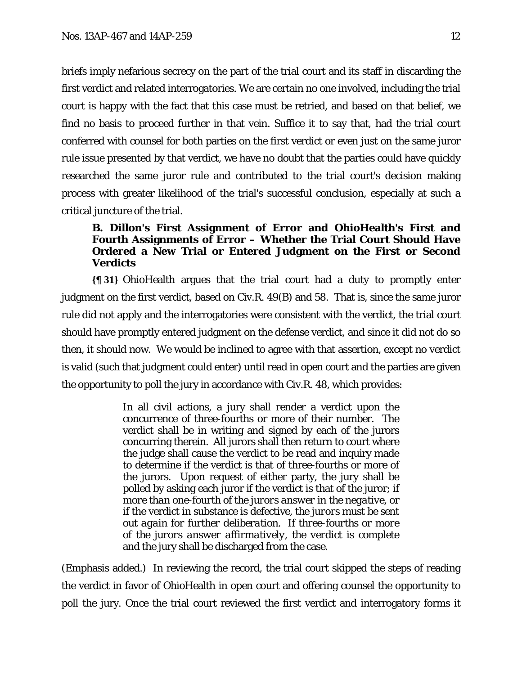briefs imply nefarious secrecy on the part of the trial court and its staff in discarding the first verdict and related interrogatories. We are certain no one involved, including the trial court is happy with the fact that this case must be retried, and based on that belief, we find no basis to proceed further in that vein. Suffice it to say that, had the trial court conferred with counsel for both parties on the first verdict or even just on the same juror rule issue presented by that verdict, we have no doubt that the parties could have quickly researched the same juror rule and contributed to the trial court's decision making process with greater likelihood of the trial's successful conclusion, especially at such a critical juncture of the trial.

### **B. Dillon's First Assignment of Error and OhioHealth's First and Fourth Assignments of Error – Whether the Trial Court Should Have Ordered a New Trial or Entered Judgment on the First or Second Verdicts**

**{¶ 31}** OhioHealth argues that the trial court had a duty to promptly enter judgment on the first verdict, based on Civ.R. 49(B) and 58. That is, since the same juror rule did not apply and the interrogatories were consistent with the verdict, the trial court should have promptly entered judgment on the defense verdict, and since it did not do so then, it should now. We would be inclined to agree with that assertion, except no verdict is valid (such that judgment could enter) until read in open court and the parties are given the opportunity to poll the jury in accordance with Civ.R. 48, which provides:

> In all civil actions, a jury shall render a verdict upon the concurrence of three-fourths or more of their number. The verdict shall be in writing and signed by each of the jurors concurring therein. All jurors shall then return to court where the judge shall cause the verdict to be read and inquiry made to determine if the verdict is that of three-fourths or more of the jurors. Upon request of either party, the jury shall be polled by asking each juror if the verdict is that of the juror; *if more than one-fourth of the jurors answer in the negative*, or if the verdict in substance is defective, *the jurors must be sent out again for further deliberation*. *If three-fourths or more of the jurors answer affirmatively, the verdict is complete* and the jury shall be discharged from the case.

(Emphasis added.) In reviewing the record, the trial court skipped the steps of reading the verdict in favor of OhioHealth in open court and offering counsel the opportunity to poll the jury. Once the trial court reviewed the first verdict and interrogatory forms it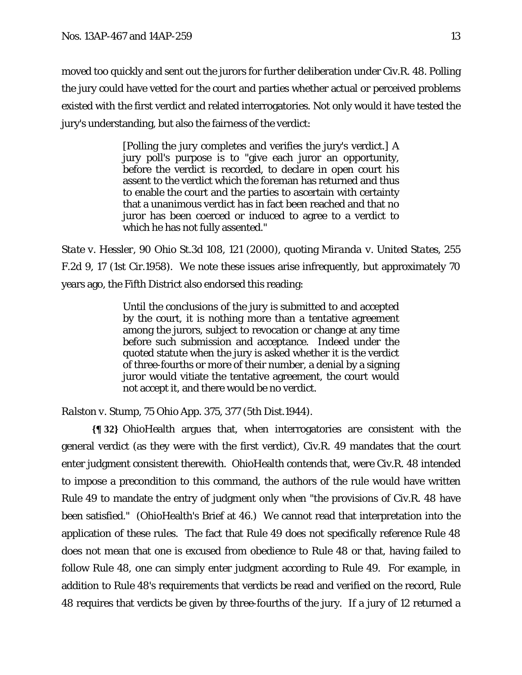moved too quickly and sent out the jurors for further deliberation under Civ.R. 48. Polling the jury could have vetted for the court and parties whether actual or perceived problems existed with the first verdict and related interrogatories. Not only would it have tested the jury's understanding, but also the fairness of the verdict:

> [Polling the jury completes and verifies the jury's verdict.] A jury poll's purpose is to "give each juror an opportunity, before the verdict is recorded, to declare in open court his assent to the verdict which the foreman has returned and thus to enable the court and the parties to ascertain with certainty that a unanimous verdict has in fact been reached and that no juror has been coerced or induced to agree to a verdict to which he has not fully assented."

*State v. Hessler*, 90 Ohio St.3d 108, 121 (2000), quoting *Miranda v. United States*, 255 F.2d 9, 17 (1st Cir.1958). We note these issues arise infrequently, but approximately 70 years ago, the Fifth District also endorsed this reading:

> Until the conclusions of the jury is submitted to and accepted by the court, it is nothing more than a tentative agreement among the jurors, subject to revocation or change at any time before such submission and acceptance. Indeed under the quoted statute when the jury is asked whether it is the verdict of three-fourths or more of their number, a denial by a signing juror would vitiate the tentative agreement, the court would not accept it, and there would be no verdict.

*Ralston v. Stump*, 75 Ohio App. 375, 377 (5th Dist.1944).

**{¶ 32}** OhioHealth argues that, when interrogatories are consistent with the general verdict (as they were with the first verdict), Civ.R. 49 mandates that the court enter judgment consistent therewith. OhioHealth contends that, were Civ.R. 48 intended to impose a precondition to this command, the authors of the rule would have written Rule 49 to mandate the entry of judgment only when "the provisions of Civ.R. 48 have been satisfied." (OhioHealth's Brief at 46.) We cannot read that interpretation into the application of these rules. The fact that Rule 49 does not specifically reference Rule 48 does not mean that one is excused from obedience to Rule 48 or that, having failed to follow Rule 48, one can simply enter judgment according to Rule 49. For example, in addition to Rule 48's requirements that verdicts be read and verified on the record, Rule 48 requires that verdicts be given by three-fourths of the jury. If a jury of 12 returned a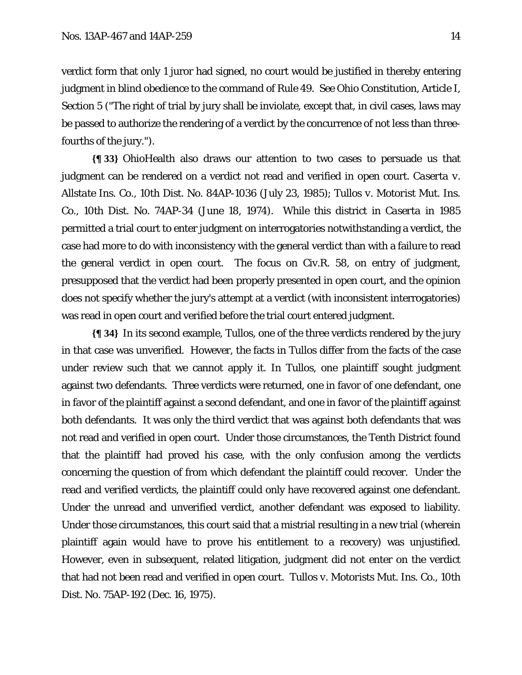verdict form that only 1 juror had signed, no court would be justified in thereby entering judgment in blind obedience to the command of Rule 49. *See* Ohio Constitution, Article I, Section 5 ("The right of trial by jury shall be inviolate, except that, in civil cases, laws may be passed to authorize the rendering of a verdict by the concurrence of not less than threefourths of the jury.").

**{¶ 33}** OhioHealth also draws our attention to two cases to persuade us that judgment can be rendered on a verdict not read and verified in open court. *Caserta v. Allstate Ins. Co.*, 10th Dist. No. 84AP-1036 (July 23, 1985); *Tullos v. Motorist Mut. Ins. Co.*, 10th Dist. No. 74AP-34 (June 18, 1974). While this district in *Caserta* in 1985 permitted a trial court to enter judgment on interrogatories notwithstanding a verdict, the case had more to do with inconsistency with the general verdict than with a failure to read the general verdict in open court. The focus on Civ.R. 58, on entry of judgment, presupposed that the verdict had been properly presented in open court, and the opinion does not specify whether the jury's attempt at a verdict (with inconsistent interrogatories) was read in open court and verified before the trial court entered judgment.

**{¶ 34}** In its second example, *Tullos*, one of the three verdicts rendered by the jury in that case was unverified. However, the facts in *Tullos* differ from the facts of the case under review such that we cannot apply it. In *Tullos*, one plaintiff sought judgment against two defendants. Three verdicts were returned, one in favor of one defendant, one in favor of the plaintiff against a second defendant, and one in favor of the plaintiff against both defendants. It was only the third verdict that was against both defendants that was not read and verified in open court. Under those circumstances, the Tenth District found that the plaintiff had proved his case, with the only confusion among the verdicts concerning the question of from which defendant the plaintiff could recover. Under the read and verified verdicts, the plaintiff could only have recovered against one defendant. Under the unread and unverified verdict, another defendant was exposed to liability. Under those circumstances, this court said that a mistrial resulting in a new trial (wherein plaintiff again would have to prove his entitlement to a recovery) was unjustified. However, even in subsequent, related litigation, judgment did not enter on the verdict that had not been read and verified in open court. *Tullos v. Motorists Mut. Ins. Co.*, 10th Dist. No. 75AP-192 (Dec. 16, 1975).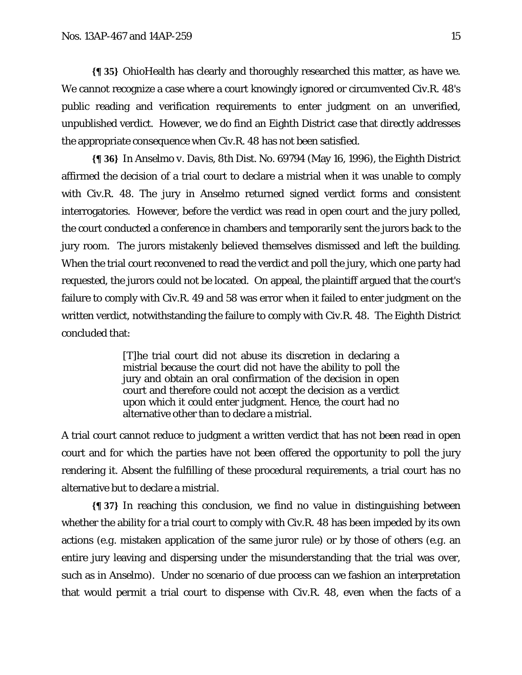**{¶ 35}** OhioHealth has clearly and thoroughly researched this matter, as have we. We cannot recognize a case where a court knowingly ignored or circumvented Civ.R. 48's public reading and verification requirements to enter judgment on an unverified, unpublished verdict. However, we do find an Eighth District case that directly addresses the appropriate consequence when Civ.R. 48 has not been satisfied.

**{¶ 36}** In *Anselmo v. Davis*, 8th Dist. No. 69794 (May 16, 1996), the Eighth District affirmed the decision of a trial court to declare a mistrial when it was unable to comply with Civ.R. 48. The jury in *Anselmo* returned signed verdict forms and consistent interrogatories. However, before the verdict was read in open court and the jury polled, the court conducted a conference in chambers and temporarily sent the jurors back to the jury room. The jurors mistakenly believed themselves dismissed and left the building. When the trial court reconvened to read the verdict and poll the jury, which one party had requested, the jurors could not be located. On appeal, the plaintiff argued that the court's failure to comply with Civ.R. 49 and 58 was error when it failed to enter judgment on the written verdict, notwithstanding the failure to comply with Civ.R. 48. The Eighth District concluded that:

> [T]he trial court did not abuse its discretion in declaring a mistrial because the court did not have the ability to poll the jury and obtain an oral confirmation of the decision in open court and therefore could not accept the decision as a verdict upon which it could enter judgment. Hence, the court had no alternative other than to declare a mistrial.

A trial court cannot reduce to judgment a written verdict that has not been read in open court and for which the parties have not been offered the opportunity to poll the jury rendering it. Absent the fulfilling of these procedural requirements, a trial court has no alternative but to declare a mistrial.

**{¶ 37}** In reaching this conclusion, we find no value in distinguishing between whether the ability for a trial court to comply with Civ.R. 48 has been impeded by its own actions (*e.g*. mistaken application of the same juror rule) or by those of others (*e.g*. an entire jury leaving and dispersing under the misunderstanding that the trial was over, such as in *Anselmo*). Under no scenario of due process can we fashion an interpretation that would permit a trial court to dispense with Civ.R. 48, even when the facts of a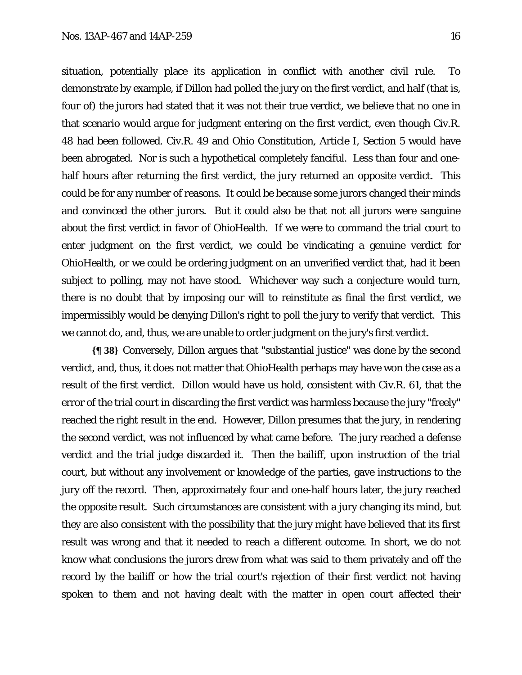situation, potentially place its application in conflict with another civil rule. To demonstrate by example, if Dillon had polled the jury on the first verdict, and half (that is, four of) the jurors had stated that it was not their true verdict, we believe that no one in that scenario would argue for judgment entering on the first verdict, even though Civ.R. 48 had been followed. Civ.R. 49 and Ohio Constitution, Article I, Section 5 would have been abrogated. Nor is such a hypothetical completely fanciful. Less than four and onehalf hours after returning the first verdict, the jury returned an opposite verdict. This could be for any number of reasons. It could be because some jurors changed their minds and convinced the other jurors. But it could also be that not all jurors were sanguine about the first verdict in favor of OhioHealth. If we were to command the trial court to

enter judgment on the first verdict, we could be vindicating a genuine verdict for OhioHealth, or we could be ordering judgment on an unverified verdict that, had it been subject to polling, may not have stood. Whichever way such a conjecture would turn, there is no doubt that by imposing our will to reinstitute as final the first verdict, we impermissibly would be denying Dillon's right to poll the jury to verify that verdict. This we cannot do, and, thus, we are unable to order judgment on the jury's first verdict.

**{¶ 38}** Conversely, Dillon argues that "substantial justice" was done by the second verdict, and, thus, it does not matter that OhioHealth perhaps may have won the case as a result of the first verdict. Dillon would have us hold, consistent with Civ.R. 61, that the error of the trial court in discarding the first verdict was harmless because the jury "freely" reached the right result in the end. However, Dillon presumes that the jury, in rendering the second verdict, was not influenced by what came before. The jury reached a defense verdict and the trial judge discarded it. Then the bailiff, upon instruction of the trial court, but without any involvement or knowledge of the parties, gave instructions to the jury off the record. Then, approximately four and one-half hours later, the jury reached the opposite result. Such circumstances are consistent with a jury changing its mind, but they are also consistent with the possibility that the jury might have believed that its first result was wrong and that it needed to reach a different outcome. In short, we do not know what conclusions the jurors drew from what was said to them privately and off the record by the bailiff or how the trial court's rejection of their first verdict not having spoken to them and not having dealt with the matter in open court affected their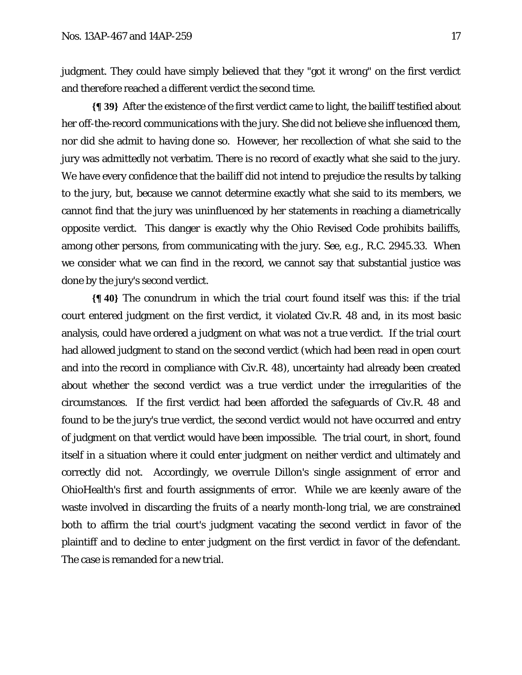judgment. They could have simply believed that they "got it wrong" on the first verdict and therefore reached a different verdict the second time.

**{¶ 39}** After the existence of the first verdict came to light, the bailiff testified about her off-the-record communications with the jury. She did not believe she influenced them, nor did she admit to having done so. However, her recollection of what she said to the jury was admittedly not verbatim. There is no record of exactly what she said to the jury. We have every confidence that the bailiff did not intend to prejudice the results by talking to the jury, but, because we cannot determine exactly what she said to its members, we cannot find that the jury was uninfluenced by her statements in reaching a diametrically opposite verdict. This danger is exactly why the Ohio Revised Code prohibits bailiffs, among other persons, from communicating with the jury. *See, e.g.*, R.C. 2945.33. When we consider what we can find in the record, we cannot say that substantial justice was done by the jury's second verdict.

**{¶ 40}** The conundrum in which the trial court found itself was this: if the trial court entered judgment on the first verdict, it violated Civ.R. 48 and, in its most basic analysis, could have ordered a judgment on what was not a true verdict. If the trial court had allowed judgment to stand on the second verdict (which had been read in open court and into the record in compliance with Civ.R. 48), uncertainty had already been created about whether the second verdict was a true verdict under the irregularities of the circumstances. If the first verdict had been afforded the safeguards of Civ.R. 48 and found to be the jury's true verdict, the second verdict would not have occurred and entry of judgment on that verdict would have been impossible. The trial court, in short, found itself in a situation where it could enter judgment on neither verdict and ultimately and correctly did not. Accordingly, we overrule Dillon's single assignment of error and OhioHealth's first and fourth assignments of error. While we are keenly aware of the waste involved in discarding the fruits of a nearly month-long trial, we are constrained both to affirm the trial court's judgment vacating the second verdict in favor of the plaintiff and to decline to enter judgment on the first verdict in favor of the defendant. The case is remanded for a new trial.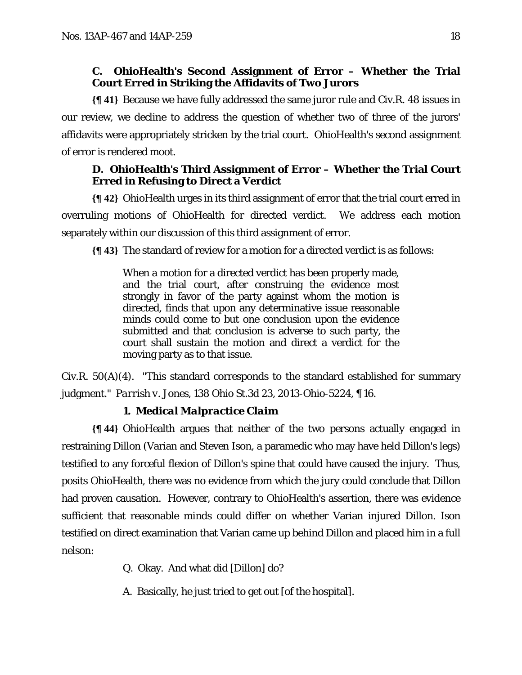## **C. OhioHealth's Second Assignment of Error – Whether the Trial Court Erred in Striking the Affidavits of Two Jurors**

**{¶ 41}** Because we have fully addressed the same juror rule and Civ.R. 48 issues in our review, we decline to address the question of whether two of three of the jurors' affidavits were appropriately stricken by the trial court. OhioHealth's second assignment of error is rendered moot.

## **D. OhioHealth's Third Assignment of Error – Whether the Trial Court Erred in Refusing to Direct a Verdict**

**{¶ 42}** OhioHealth urges in its third assignment of error that the trial court erred in overruling motions of OhioHealth for directed verdict. We address each motion separately within our discussion of this third assignment of error.

**{¶ 43}** The standard of review for a motion for a directed verdict is as follows:

When a motion for a directed verdict has been properly made, and the trial court, after construing the evidence most strongly in favor of the party against whom the motion is directed, finds that upon any determinative issue reasonable minds could come to but one conclusion upon the evidence submitted and that conclusion is adverse to such party, the court shall sustain the motion and direct a verdict for the moving party as to that issue.

Civ.R. 50(A)(4). "This standard corresponds to the standard established for summary judgment." *Parrish v. Jones*, 138 Ohio St.3d 23, 2013-Ohio-5224, ¶ 16.

# **1.** *Medical Malpractice Claim*

**{¶ 44}** OhioHealth argues that neither of the two persons actually engaged in restraining Dillon (Varian and Steven Ison, a paramedic who may have held Dillon's legs) testified to any forceful flexion of Dillon's spine that could have caused the injury. Thus, posits OhioHealth, there was no evidence from which the jury could conclude that Dillon had proven causation. However, contrary to OhioHealth's assertion, there was evidence sufficient that reasonable minds could differ on whether Varian injured Dillon. Ison testified on direct examination that Varian came up behind Dillon and placed him in a full nelson:

Q. Okay. And what did [Dillon] do?

A. Basically, he just tried to get out [of the hospital].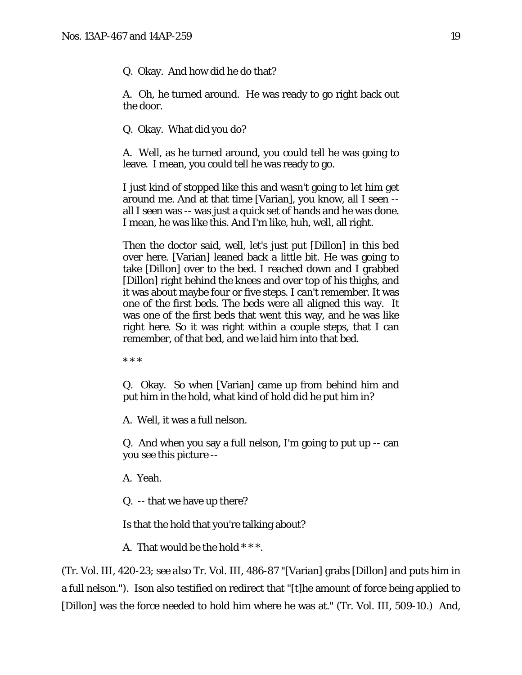Q. Okay. And how did he do that?

A. Oh, he turned around. He was ready to go right back out the door.

Q. Okay. What did you do?

A. Well, as he turned around, you could tell he was going to leave. I mean, you could tell he was ready to go.

I just kind of stopped like this and wasn't going to let him get around me. And at that time [Varian], you know, all I seen - all I seen was -- was just a quick set of hands and he was done. I mean, he was like this. And I'm like, huh, well, all right.

Then the doctor said, well, let's just put [Dillon] in this bed over here. [Varian] leaned back a little bit. He was going to take [Dillon] over to the bed. I reached down and I grabbed [Dillon] right behind the knees and over top of his thighs, and it was about maybe four or five steps. I can't remember. It was one of the first beds. The beds were all aligned this way. It was one of the first beds that went this way, and he was like right here. So it was right within a couple steps, that I can remember, of that bed, and we laid him into that bed.

\* \* \*

Q. Okay. So when [Varian] came up from behind him and put him in the hold, what kind of hold did he put him in?

A. Well, it was a full nelson.

Q. And when you say a full nelson, I'm going to put up -- can you see this picture --

A. Yeah.

Q. -- that we have up there?

Is that the hold that you're talking about?

A. That would be the hold \* \* \*.

(Tr. Vol. III, 420-23; *see also* Tr. Vol. III, 486-87 "[Varian] grabs [Dillon] and puts him in a full nelson."). Ison also testified on redirect that "[t]he amount of force being applied to [Dillon] was the force needed to hold him where he was at." (Tr. Vol. III, 509-10.) And,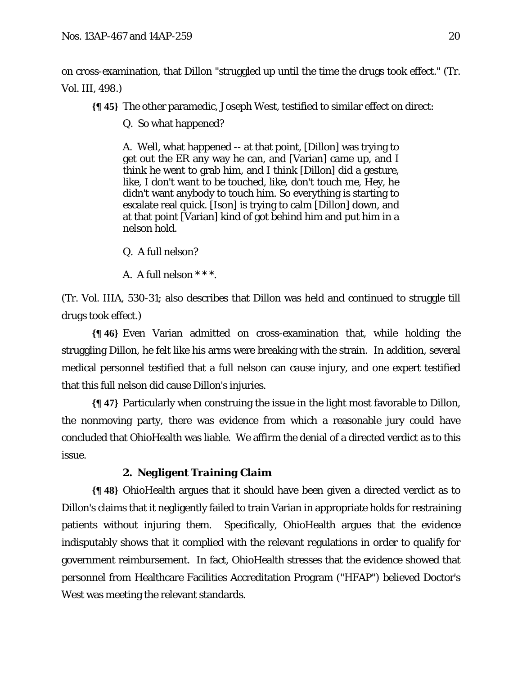on cross-examination, that Dillon "struggled up until the time the drugs took effect." (Tr. Vol. III, 498.)

**{¶ 45}** The other paramedic, Joseph West, testified to similar effect on direct:

Q. So what happened?

A. Well, what happened -- at that point, [Dillon] was trying to get out the ER any way he can, and [Varian] came up, and I think he went to grab him, and I think [Dillon] did a gesture, like, I don't want to be touched, like, don't touch me, Hey, he didn't want anybody to touch him. So everything is starting to escalate real quick. [Ison] is trying to calm [Dillon] down, and at that point [Varian] kind of got behind him and put him in a nelson hold.

Q. A full nelson?

A. A full nelson \* \* \*.

(Tr. Vol. IIIA, 530-31; also describes that Dillon was held and continued to struggle till drugs took effect.)

**{¶ 46}** Even Varian admitted on cross-examination that, while holding the struggling Dillon, he felt like his arms were breaking with the strain. In addition, several medical personnel testified that a full nelson can cause injury, and one expert testified that this full nelson did cause Dillon's injuries.

**{¶ 47}** Particularly when construing the issue in the light most favorable to Dillon, the nonmoving party, there was evidence from which a reasonable jury could have concluded that OhioHealth was liable. We affirm the denial of a directed verdict as to this issue.

# **2.** *Negligent Training Claim*

**{¶ 48}** OhioHealth argues that it should have been given a directed verdict as to Dillon's claims that it negligently failed to train Varian in appropriate holds for restraining patients without injuring them. Specifically, OhioHealth argues that the evidence indisputably shows that it complied with the relevant regulations in order to qualify for government reimbursement. In fact, OhioHealth stresses that the evidence showed that personnel from Healthcare Facilities Accreditation Program ("HFAP") believed Doctor's West was meeting the relevant standards.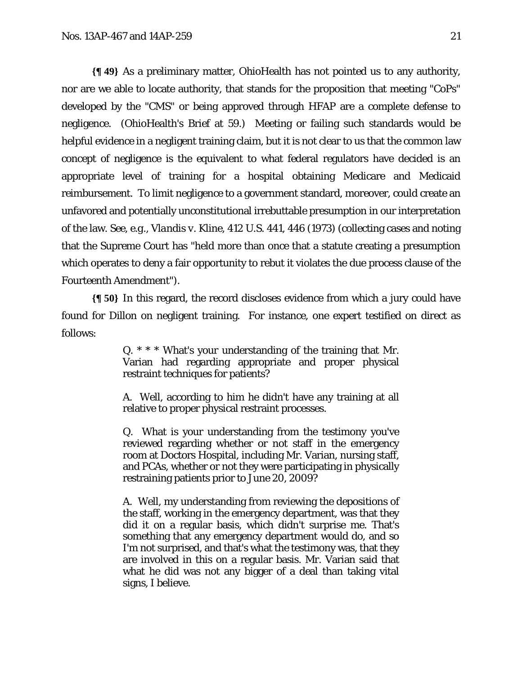**{¶ 49}** As a preliminary matter, OhioHealth has not pointed us to any authority, nor are we able to locate authority, that stands for the proposition that meeting "CoPs" developed by the "CMS" or being approved through HFAP are a complete defense to negligence. (OhioHealth's Brief at 59.) Meeting or failing such standards would be helpful evidence in a negligent training claim, but it is not clear to us that the common law concept of negligence is the equivalent to what federal regulators have decided is an appropriate level of training for a hospital obtaining Medicare and Medicaid reimbursement. To limit negligence to a government standard, moreover, could create an unfavored and potentially unconstitutional irrebuttable presumption in our interpretation of the law. *See, e.g.*, *Vlandis v. Kline*, 412 U.S. 441, 446 (1973) (collecting cases and noting that the Supreme Court has "held more than once that a statute creating a presumption which operates to deny a fair opportunity to rebut it violates the due process clause of the Fourteenth Amendment").

**{¶ 50}** In this regard, the record discloses evidence from which a jury could have found for Dillon on negligent training. For instance, one expert testified on direct as follows:

> Q. \* \* \* What's your understanding of the training that Mr. Varian had regarding appropriate and proper physical restraint techniques for patients?

> A. Well, according to him he didn't have any training at all relative to proper physical restraint processes.

> Q. What is your understanding from the testimony you've reviewed regarding whether or not staff in the emergency room at Doctors Hospital, including Mr. Varian, nursing staff, and PCAs, whether or not they were participating in physically restraining patients prior to June 20, 2009?

> A. Well, my understanding from reviewing the depositions of the staff, working in the emergency department, was that they did it on a regular basis, which didn't surprise me. That's something that any emergency department would do, and so I'm not surprised, and that's what the testimony was, that they are involved in this on a regular basis. Mr. Varian said that what he did was not any bigger of a deal than taking vital signs, I believe.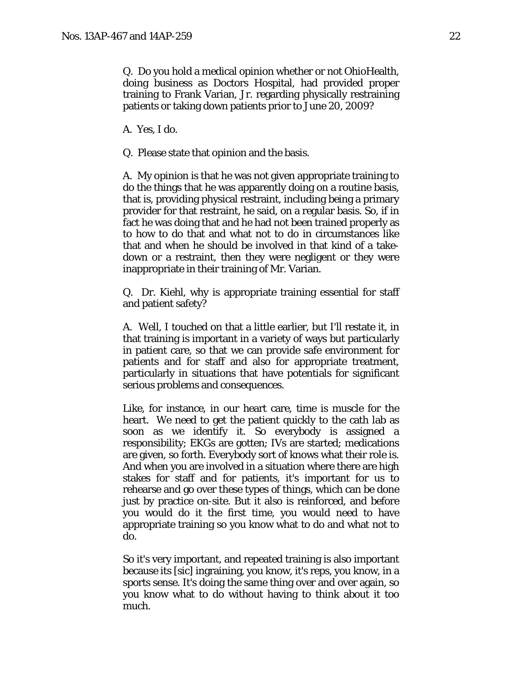Q. Do you hold a medical opinion whether or not OhioHealth, doing business as Doctors Hospital, had provided proper training to Frank Varian, Jr. regarding physically restraining patients or taking down patients prior to June 20, 2009?

A. Yes, I do.

Q. Please state that opinion and the basis.

A. My opinion is that he was not given appropriate training to do the things that he was apparently doing on a routine basis, that is, providing physical restraint, including being a primary provider for that restraint, he said, on a regular basis. So, if in fact he was doing that and he had not been trained properly as to how to do that and what not to do in circumstances like that and when he should be involved in that kind of a takedown or a restraint, then they were negligent or they were inappropriate in their training of Mr. Varian.

Q. Dr. Kiehl, why is appropriate training essential for staff and patient safety?

A. Well, I touched on that a little earlier, but I'll restate it, in that training is important in a variety of ways but particularly in patient care, so that we can provide safe environment for patients and for staff and also for appropriate treatment, particularly in situations that have potentials for significant serious problems and consequences.

Like, for instance, in our heart care, time is muscle for the heart. We need to get the patient quickly to the cath lab as soon as we identify it. So everybody is assigned a responsibility; EKGs are gotten; IVs are started; medications are given, so forth. Everybody sort of knows what their role is. And when you are involved in a situation where there are high stakes for staff and for patients, it's important for us to rehearse and go over these types of things, which can be done just by practice on-site. But it also is reinforced, and before you would do it the first time, you would need to have appropriate training so you know what to do and what not to do.

So it's very important, and repeated training is also important because its [sic] ingraining, you know, it's reps, you know, in a sports sense. It's doing the same thing over and over again, so you know what to do without having to think about it too much.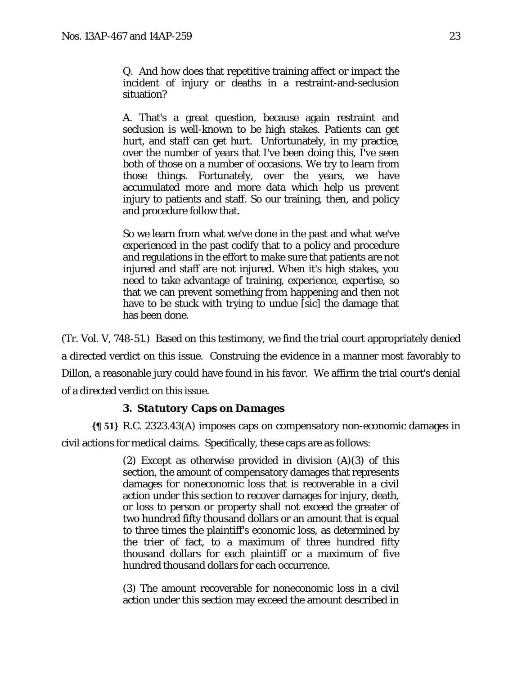Q. And how does that repetitive training affect or impact the incident of injury or deaths in a restraint-and-seclusion situation?

A. That's a great question, because again restraint and seclusion is well-known to be high stakes. Patients can get hurt, and staff can get hurt. Unfortunately, in my practice, over the number of years that I've been doing this, I've seen both of those on a number of occasions. We try to learn from those things. Fortunately, over the years, we have accumulated more and more data which help us prevent injury to patients and staff. So our training, then, and policy and procedure follow that.

So we learn from what we've done in the past and what we've experienced in the past codify that to a policy and procedure and regulations in the effort to make sure that patients are not injured and staff are not injured. When it's high stakes, you need to take advantage of training, experience, expertise, so that we can prevent something from happening and then not have to be stuck with trying to undue [sic] the damage that has been done.

(Tr. Vol. V, 748-51.) Based on this testimony, we find the trial court appropriately denied a directed verdict on this issue. Construing the evidence in a manner most favorably to Dillon, a reasonable jury could have found in his favor. We affirm the trial court's denial of a directed verdict on this issue.

### **3.** *Statutory Caps on Damages*

**{¶ 51}** R.C. 2323.43(A) imposes caps on compensatory non-economic damages in civil actions for medical claims. Specifically, these caps are as follows:

> (2) Except as otherwise provided in division (A)(3) of this section, the amount of compensatory damages that represents damages for noneconomic loss that is recoverable in a civil action under this section to recover damages for injury, death, or loss to person or property shall not exceed the greater of two hundred fifty thousand dollars or an amount that is equal to three times the plaintiff's economic loss, as determined by the trier of fact, to a maximum of three hundred fifty thousand dollars for each plaintiff or a maximum of five hundred thousand dollars for each occurrence.

> (3) The amount recoverable for noneconomic loss in a civil action under this section may exceed the amount described in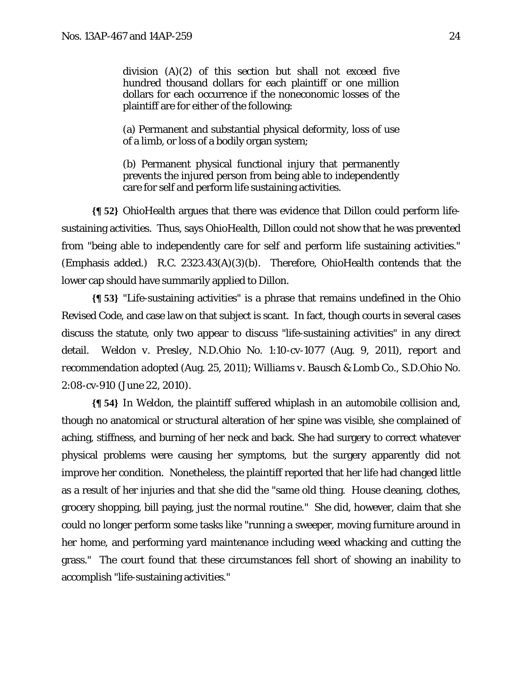division (A)(2) of this section but shall not exceed five hundred thousand dollars for each plaintiff or one million dollars for each occurrence if the noneconomic losses of the plaintiff are for either of the following:

(a) Permanent and substantial physical deformity, loss of use of a limb, or loss of a bodily organ system;

(b) Permanent physical functional injury that permanently prevents the injured person from being able to independently care for self and perform life sustaining activities.

**{¶ 52}** OhioHealth argues that there was evidence that Dillon could perform lifesustaining activities. Thus, says OhioHealth, Dillon could not show that he was prevented from "being able to independently care for self *and* perform life sustaining activities." (Emphasis added.) R.C. 2323.43(A)(3)(b). Therefore, OhioHealth contends that the lower cap should have summarily applied to Dillon.

**{¶ 53}** "Life-sustaining activities" is a phrase that remains undefined in the Ohio Revised Code, and case law on that subject is scant. In fact, though courts in several cases discuss the statute, only two appear to discuss "life-sustaining activities" in any direct detail. *Weldon v. Presley*, N.D.Ohio No. 1:10-cv-1077 (Aug. 9, 2011), *report and recommendation adopted* (Aug. 25, 2011); *Williams v. Bausch & Lomb Co.*, S.D.Ohio No. 2:08-cv-910 (June 22, 2010).

**{¶ 54}** In *Weldon*, the plaintiff suffered whiplash in an automobile collision and, though no anatomical or structural alteration of her spine was visible, she complained of aching, stiffness, and burning of her neck and back. She had surgery to correct whatever physical problems were causing her symptoms, but the surgery apparently did not improve her condition. Nonetheless, the plaintiff reported that her life had changed little as a result of her injuries and that she did the "same old thing. House cleaning, clothes, grocery shopping, bill paying, just the normal routine." She did, however, claim that she could no longer perform some tasks like "running a sweeper, moving furniture around in her home, and performing yard maintenance including weed whacking and cutting the grass." The court found that these circumstances fell short of showing an inability to accomplish "life-sustaining activities."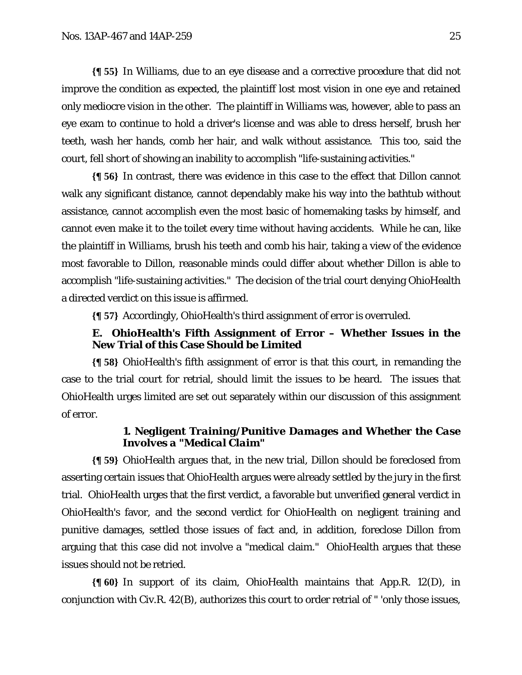**{¶ 55}** In *Williams*, due to an eye disease and a corrective procedure that did not improve the condition as expected, the plaintiff lost most vision in one eye and retained only mediocre vision in the other. The plaintiff in *Williams* was, however, able to pass an eye exam to continue to hold a driver's license and was able to dress herself, brush her teeth, wash her hands, comb her hair, and walk without assistance. This too, said the court, fell short of showing an inability to accomplish "life-sustaining activities."

**{¶ 56}** In contrast, there was evidence in this case to the effect that Dillon cannot walk any significant distance, cannot dependably make his way into the bathtub without assistance, cannot accomplish even the most basic of homemaking tasks by himself, and cannot even make it to the toilet every time without having accidents. While he can, like the plaintiff in *Williams*, brush his teeth and comb his hair, taking a view of the evidence most favorable to Dillon, reasonable minds could differ about whether Dillon is able to accomplish "life-sustaining activities." The decision of the trial court denying OhioHealth a directed verdict on this issue is affirmed.

**{¶ 57}** Accordingly, OhioHealth's third assignment of error is overruled.

### **E. OhioHealth's Fifth Assignment of Error – Whether Issues in the New Trial of this Case Should be Limited**

**{¶ 58}** OhioHealth's fifth assignment of error is that this court, in remanding the case to the trial court for retrial, should limit the issues to be heard. The issues that OhioHealth urges limited are set out separately within our discussion of this assignment of error.

### **1.** *Negligent Training/Punitive Damages and Whether the Case Involves a "Medical Claim"*

**{¶ 59}** OhioHealth argues that, in the new trial, Dillon should be foreclosed from asserting certain issues that OhioHealth argues were already settled by the jury in the first trial. OhioHealth urges that the first verdict, a favorable but unverified general verdict in OhioHealth's favor, and the second verdict for OhioHealth on negligent training and punitive damages, settled those issues of fact and, in addition, foreclose Dillon from arguing that this case did not involve a "medical claim." OhioHealth argues that these issues should not be retried.

**{¶ 60}** In support of its claim, OhioHealth maintains that App.R. 12(D), in conjunction with Civ.R. 42(B), authorizes this court to order retrial of " 'only those issues,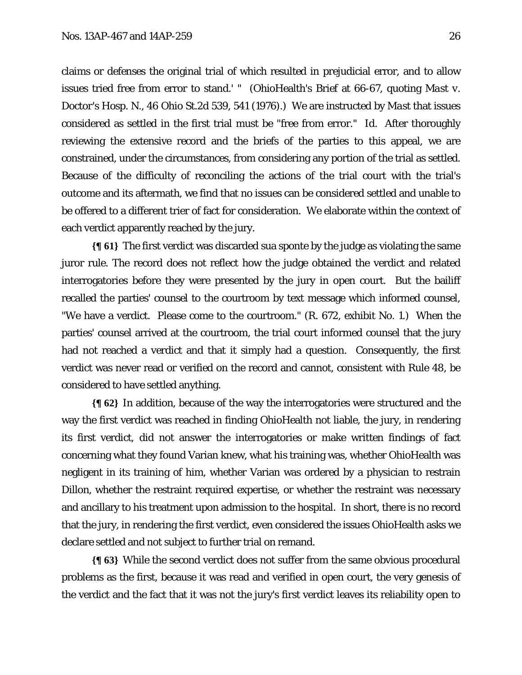claims or defenses the original trial of which resulted in prejudicial error, and to allow issues tried free from error to stand.' " (OhioHealth's Brief at 66-67, quoting *Mast v. Doctor's Hosp. N.*, 46 Ohio St.2d 539, 541 (1976).) We are instructed by *Mast* that issues considered as settled in the first trial must be "free from error." *Id.* After thoroughly reviewing the extensive record and the briefs of the parties to this appeal, we are constrained, under the circumstances, from considering any portion of the trial as settled. Because of the difficulty of reconciling the actions of the trial court with the trial's outcome and its aftermath, we find that no issues can be considered settled and unable to be offered to a different trier of fact for consideration. We elaborate within the context of each verdict apparently reached by the jury.

**{¶ 61}** The first verdict was discarded sua sponte by the judge as violating the same juror rule. The record does not reflect how the judge obtained the verdict and related interrogatories before they were presented by the jury in open court. But the bailiff recalled the parties' counsel to the courtroom by text message which informed counsel, "We have a verdict. Please come to the courtroom." (R. 672, exhibit No. 1.) When the parties' counsel arrived at the courtroom, the trial court informed counsel that the jury had not reached a verdict and that it simply had a question. Consequently, the first verdict was never read or verified on the record and cannot, consistent with Rule 48, be considered to have settled anything.

**{¶ 62}** In addition, because of the way the interrogatories were structured and the way the first verdict was reached in finding OhioHealth not liable, the jury, in rendering its first verdict, did not answer the interrogatories or make written findings of fact concerning what they found Varian knew, what his training was, whether OhioHealth was negligent in its training of him, whether Varian was ordered by a physician to restrain Dillon, whether the restraint required expertise, or whether the restraint was necessary and ancillary to his treatment upon admission to the hospital. In short, there is no record that the jury, in rendering the first verdict, even considered the issues OhioHealth asks we declare settled and not subject to further trial on remand.

**{¶ 63}** While the second verdict does not suffer from the same obvious procedural problems as the first, because it was read and verified in open court, the very genesis of the verdict and the fact that it was not the jury's first verdict leaves its reliability open to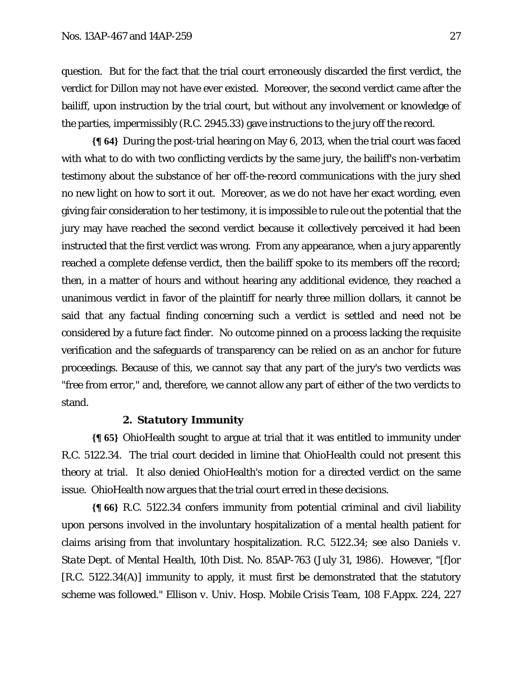question. But for the fact that the trial court erroneously discarded the first verdict, the verdict for Dillon may not have ever existed. Moreover, the second verdict came after the bailiff, upon instruction by the trial court, but without any involvement or knowledge of the parties, impermissibly (R.C. 2945.33) gave instructions to the jury off the record.

**{¶ 64}** During the post-trial hearing on May 6, 2013, when the trial court was faced with what to do with two conflicting verdicts by the same jury, the bailiff's non-verbatim testimony about the substance of her off-the-record communications with the jury shed no new light on how to sort it out. Moreover, as we do not have her exact wording, even giving fair consideration to her testimony, it is impossible to rule out the potential that the jury may have reached the second verdict because it collectively perceived it had been instructed that the first verdict was wrong. From any appearance, when a jury apparently reached a complete defense verdict, then the bailiff spoke to its members off the record; then, in a matter of hours and without hearing any additional evidence, they reached a unanimous verdict in favor of the plaintiff for nearly three million dollars, it cannot be said that any factual finding concerning such a verdict is settled and need not be considered by a future fact finder. No outcome pinned on a process lacking the requisite verification and the safeguards of transparency can be relied on as an anchor for future proceedings. Because of this, we cannot say that any part of the jury's two verdicts was "free from error," and, therefore, we cannot allow any part of either of the two verdicts to stand.

#### **2.** *Statutory Immunity*

**{¶ 65}** OhioHealth sought to argue at trial that it was entitled to immunity under R.C. 5122.34. The trial court decided in limine that OhioHealth could not present this theory at trial. It also denied OhioHealth's motion for a directed verdict on the same issue. OhioHealth now argues that the trial court erred in these decisions.

**{¶ 66}** R.C. 5122.34 confers immunity from potential criminal and civil liability upon persons involved in the involuntary hospitalization of a mental health patient for claims arising from that involuntary hospitalization. R.C. 5122.34; *see also Daniels v. State Dept. of Mental Health*, 10th Dist. No. 85AP-763 (July 31, 1986). However, "[f]or [R.C. 5122.34(A)] immunity to apply, it must first be demonstrated that the statutory scheme was followed." *Ellison v. Univ. Hosp. Mobile Crisis Team*, 108 F.Appx. 224, 227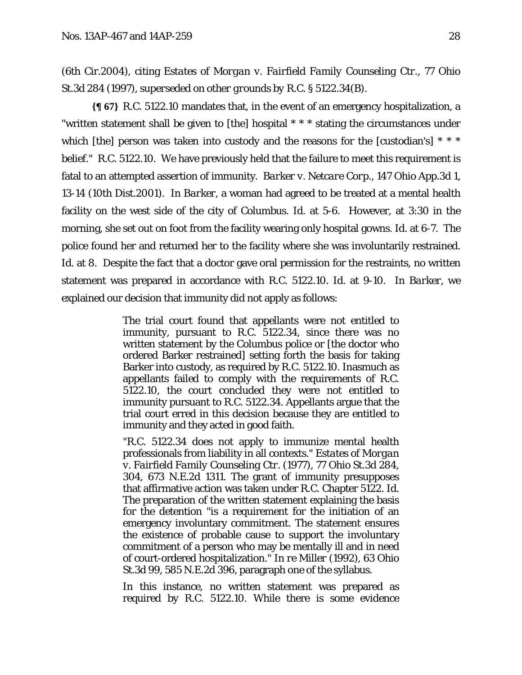(6th Cir.2004), citing *Estates of Morgan v. Fairfield Family Counseling Ctr.*, 77 Ohio St.3d 284 (1997), *superseded on other grounds by R.C. § 5122.34(B)*.

**{¶ 67}** R.C. 5122.10 mandates that, in the event of an emergency hospitalization, a "written statement shall be given to [the] hospital \* \* \* stating the circumstances under which [the] person was taken into custody and the reasons for the [custodian's]  $* * *$ belief." R.C. 5122.10. We have previously held that the failure to meet this requirement is fatal to an attempted assertion of immunity. *Barker v. Netcare Corp.*, 147 Ohio App.3d 1, 13-14 (10th Dist.2001). In *Barker*, a woman had agreed to be treated at a mental health facility on the west side of the city of Columbus. *Id.* at 5-6. However, at 3:30 in the morning, she set out on foot from the facility wearing only hospital gowns. *Id.* at 6-7. The police found her and returned her to the facility where she was involuntarily restrained. *Id.* at 8. Despite the fact that a doctor gave oral permission for the restraints, no written statement was prepared in accordance with R.C. 5122.10. *Id.* at 9-10. In *Barker*, we explained our decision that immunity did not apply as follows:

> The trial court found that appellants were not entitled to immunity, pursuant to R.C. 5122.34, since there was no written statement by the Columbus police or [the doctor who ordered Barker restrained] setting forth the basis for taking Barker into custody, as required by R.C. 5122.10. Inasmuch as appellants failed to comply with the requirements of R.C. 5122.10, the court concluded they were not entitled to immunity pursuant to R.C. 5122.34. Appellants argue that the trial court erred in this decision because they are entitled to immunity and they acted in good faith.

> "R.C. 5122.34 does not apply to immunize mental health professionals from liability in all contexts." *Estates of Morgan v. Fairfield Family Counseling Ctr.* (1977), 77 Ohio St.3d 284, 304, 673 N.E.2d 1311. The grant of immunity presupposes that affirmative action was taken under R.C. Chapter 5122. *Id.* The preparation of the written statement explaining the basis for the detention "is a requirement for the initiation of an emergency involuntary commitment. The statement ensures the existence of probable cause to support the involuntary commitment of a person who may be mentally ill and in need of court-ordered hospitalization." *In re Miller* (1992), 63 Ohio St.3d 99, 585 N.E.2d 396, paragraph one of the syllabus.

> In this instance, no written statement was prepared as required by R.C. 5122.10. While there is some evidence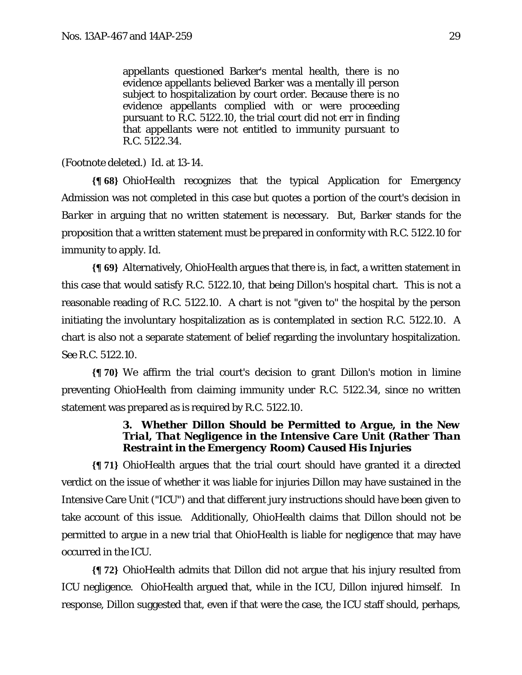appellants questioned Barker's mental health, there is no evidence appellants believed Barker was a mentally ill person subject to hospitalization by court order. Because there is no evidence appellants complied with or were proceeding pursuant to R.C. 5122.10, the trial court did not err in finding that appellants were not entitled to immunity pursuant to R.C. 5122.34.

(Footnote deleted.) *Id.* at 13-14.

**{¶ 68}** OhioHealth recognizes that the typical Application for Emergency Admission was not completed in this case but quotes a portion of the court's decision in *Barker* in arguing that no written statement is necessary. But, *Barker* stands for the proposition that a written statement must be prepared in conformity with R.C. 5122.10 for immunity to apply. *Id.* 

**{¶ 69}** Alternatively, OhioHealth argues that there is, in fact, a written statement in this case that would satisfy R.C. 5122.10, that being Dillon's hospital chart. This is not a reasonable reading of R.C. 5122.10. A chart is not "given to" the hospital by the person initiating the involuntary hospitalization as is contemplated in section R.C. 5122.10. A chart is also not a separate statement of belief regarding the involuntary hospitalization. *See* R.C. 5122.10.

**{¶ 70}** We affirm the trial court's decision to grant Dillon's motion in limine preventing OhioHealth from claiming immunity under R.C. 5122.34, since no written statement was prepared as is required by R.C. 5122.10.

### **3.** *Whether Dillon Should be Permitted to Argue, in the New Trial, That Negligence in the Intensive Care Unit (Rather Than Restraint in the Emergency Room) Caused His Injuries*

**{¶ 71}** OhioHealth argues that the trial court should have granted it a directed verdict on the issue of whether it was liable for injuries Dillon may have sustained in the Intensive Care Unit ("ICU") and that different jury instructions should have been given to take account of this issue. Additionally, OhioHealth claims that Dillon should not be permitted to argue in a new trial that OhioHealth is liable for negligence that may have occurred in the ICU.

**{¶ 72}** OhioHealth admits that Dillon did not argue that his injury resulted from ICU negligence. OhioHealth argued that, while in the ICU, Dillon injured himself. In response, Dillon suggested that, even if that were the case, the ICU staff should, perhaps,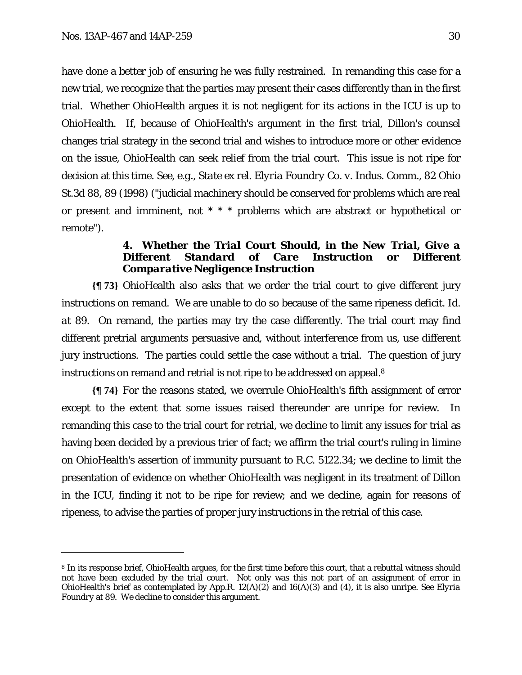-

have done a better job of ensuring he was fully restrained. In remanding this case for a new trial, we recognize that the parties may present their cases differently than in the first trial. Whether OhioHealth argues it is not negligent for its actions in the ICU is up to OhioHealth. If, because of OhioHealth's argument in the first trial, Dillon's counsel changes trial strategy in the second trial and wishes to introduce more or other evidence on the issue, OhioHealth can seek relief from the trial court. This issue is not ripe for decision at this time. *See, e.g.*, *State ex rel. Elyria Foundry Co. v. Indus. Comm.*, 82 Ohio St.3d 88, 89 (1998) ("judicial machinery should be conserved for problems which are real or present and imminent, not \* \* \* problems which are abstract or hypothetical or remote").

### **4.** *Whether the Trial Court Should, in the New Trial, Give a Different Standard of Care Instruction or Different Comparative Negligence Instruction*

**{¶ 73}** OhioHealth also asks that we order the trial court to give different jury instructions on remand. We are unable to do so because of the same ripeness deficit. *Id. a*t 89. On remand, the parties may try the case differently. The trial court may find different pretrial arguments persuasive and, without interference from us, use different jury instructions. The parties could settle the case without a trial. The question of jury instructions on remand and retrial is not ripe to be addressed on appeal.8

**{¶ 74}** For the reasons stated, we overrule OhioHealth's fifth assignment of error except to the extent that some issues raised thereunder are unripe for review. In remanding this case to the trial court for retrial, we decline to limit any issues for trial as having been decided by a previous trier of fact; we affirm the trial court's ruling in limine on OhioHealth's assertion of immunity pursuant to R.C. 5122.34; we decline to limit the presentation of evidence on whether OhioHealth was negligent in its treatment of Dillon in the ICU, finding it not to be ripe for review; and we decline, again for reasons of ripeness, to advise the parties of proper jury instructions in the retrial of this case.

<sup>8</sup> In its response brief, OhioHealth argues, for the first time before this court, that a rebuttal witness should not have been excluded by the trial court. Not only was this not part of an assignment of error in OhioHealth's brief as contemplated by App.R. 12(A)(2) and 16(A)(3) and (4), it is also unripe. *See Elyria Foundry* at 89. We decline to consider this argument.